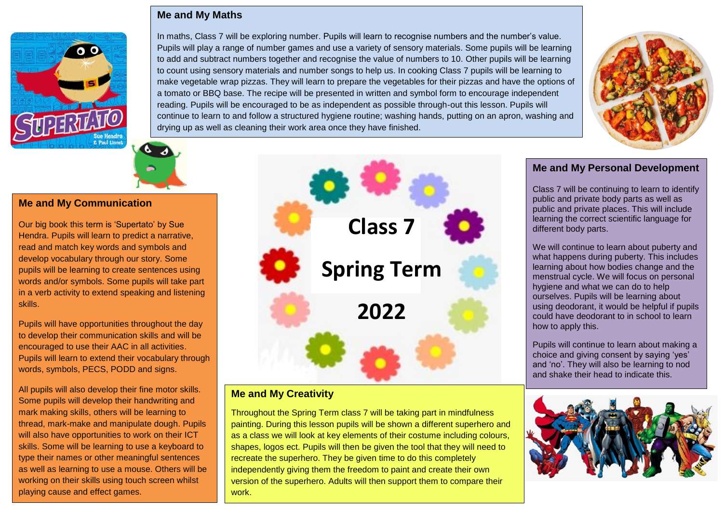### **Me and My Maths**





# **Me and My Communication**

Our big book this term is 'Supertato' by Sue Hendra. Pupils will learn to predict a narrative, read and match key words and symbols and develop vocabulary through our story. Some pupils will be learning to create sentences using words and/or symbols. Some pupils will take part in a verb activity to extend speaking and listening skills.

Pupils will have opportunities throughout the day to develop their communication skills and will be encouraged to use their AAC in all activities. Pupils will learn to extend their vocabulary through words, symbols, PECS, PODD and signs.

All pupils will also develop their fine motor skills. Some pupils will develop their handwriting and mark making skills, others will be learning to thread, mark-make and manipulate dough. Pupils will also have opportunities to work on their ICT skills. Some will be learning to use a keyboard to type their names or other meaningful sentences as well as learning to use a mouse. Others will be working on their skills using touch screen whilst playing cause and effect games.



In maths, Class 7 will be exploring number. Pupils will learn to recognise numbers and the number's value. Pupils will play a range of number games and use a variety of sensory materials. Some pupils will be learning to add and subtract numbers together and recognise the value of numbers to 10. Other pupils will be learning to count using sensory materials and number songs to help us. In cooking Class 7 pupils will be learning to make vegetable wrap pizzas. They will learn to prepare the vegetables for their pizzas and have the options of a tomato or BBQ base. The recipe will be presented in written and symbol form to encourage independent reading. Pupils will be encouraged to be as independent as possible through-out this lesson. Pupils will

continue to learn to and follow a structured hygiene routine; washing hands, putting on an apron, washing and

# **Me and My Creativity**

drying up as well as cleaning their work area once they have finished.

Throughout the Spring Term class 7 will be taking part in mindfulness painting. During this lesson pupils will be shown a different superhero and as a class we will look at key elements of their costume including colours, shapes, logos ect. Pupils will then be given the tool that they will need to recreate the superhero. They be given time to do this completely independently giving them the freedom to paint and create their own version of the superhero. Adults will then support them to compare their work.

# **Me and My Personal Development**

Class 7 will be continuing to learn to identify public and private body parts as well as public and private places. This will include learning the correct scientific language for different body parts.

We will continue to learn about puberty and what happens during puberty. This includes learning about how bodies change and the menstrual cycle. We will focus on personal hygiene and what we can do to help ourselves. Pupils will be learning about using deodorant, it would be helpful if pupils could have deodorant to in school to learn how to apply this.

Pupils will continue to learn about making a choice and giving consent by saying 'yes' and 'no'. They will also be learning to nod and shake their head to indicate this.